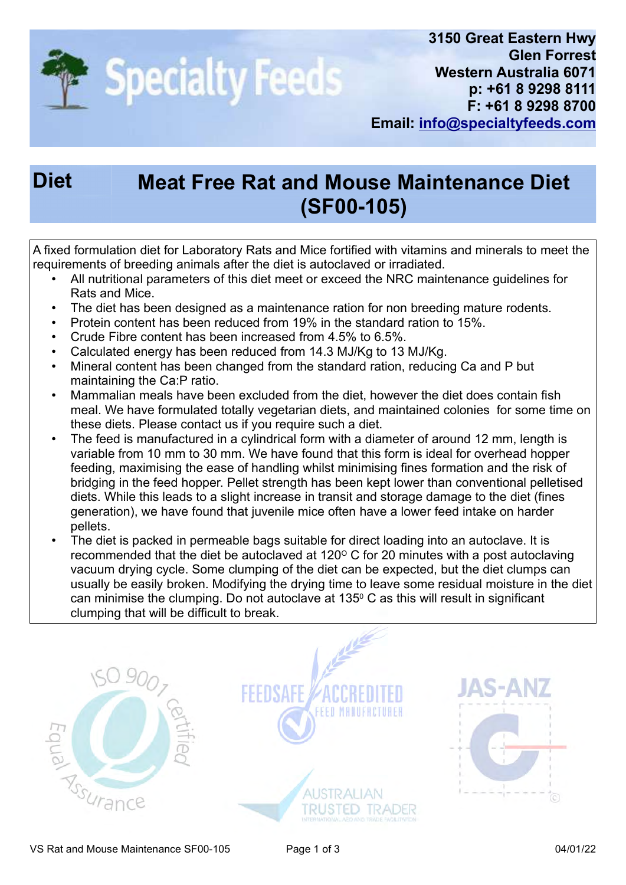

## Diet Meat Free Rat and Mouse Maintenance Diet (SF00-105)

A fixed formulation diet for Laboratory Rats and Mice fortified with vitamins and minerals to meet the requirements of breeding animals after the diet is autoclaved or irradiated.

- All nutritional parameters of this diet meet or exceed the NRC maintenance guidelines for Rats and Mice.
- The diet has been designed as a maintenance ration for non breeding mature rodents.
- Protein content has been reduced from 19% in the standard ration to 15%.
- Crude Fibre content has been increased from 4.5% to 6.5%.
- Calculated energy has been reduced from 14.3 MJ/Kg to 13 MJ/Kg.
- Mineral content has been changed from the standard ration, reducing Ca and P but maintaining the Ca:P ratio.
- Mammalian meals have been excluded from the diet, however the diet does contain fish meal. We have formulated totally vegetarian diets, and maintained colonies for some time on these diets. Please contact us if you require such a diet.
- The feed is manufactured in a cylindrical form with a diameter of around 12 mm, length is variable from 10 mm to 30 mm. We have found that this form is ideal for overhead hopper feeding, maximising the ease of handling whilst minimising fines formation and the risk of bridging in the feed hopper. Pellet strength has been kept lower than conventional pelletised diets. While this leads to a slight increase in transit and storage damage to the diet (fines generation), we have found that juvenile mice often have a lower feed intake on harder pellets.
- The diet is packed in permeable bags suitable for direct loading into an autoclave. It is recommended that the diet be autoclaved at 120 $\degree$  C for 20 minutes with a post autoclaving vacuum drying cycle. Some clumping of the diet can be expected, but the diet clumps can usually be easily broken. Modifying the drying time to leave some residual moisture in the diet can minimise the clumping. Do not autoclave at 135 $\rm ^o$  C as this will result in significant clumping that will be difficult to break.

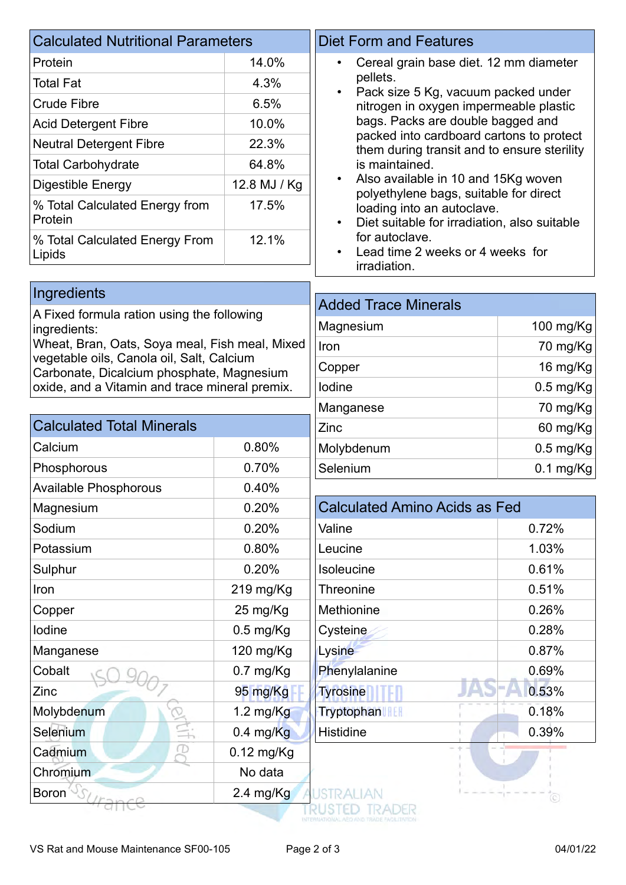| <b>Calculated Nutritional Parameters</b>   |              | <b>Diet Form and Features</b>                                                                                       |  |
|--------------------------------------------|--------------|---------------------------------------------------------------------------------------------------------------------|--|
| Protein                                    | 14.0%        | Cereal grain base diet. 12 mm diameter<br>$\bullet$<br>pellets.<br>Pack size 5 Kg, vacuum packed under<br>$\bullet$ |  |
| Total Fat                                  | 4.3%         |                                                                                                                     |  |
| <b>Crude Fibre</b>                         | 6.5%         | nitrogen in oxygen impermeable plastic                                                                              |  |
| <b>Acid Detergent Fibre</b>                | 10.0%        | bags. Packs are double bagged and                                                                                   |  |
| <b>Neutral Detergent Fibre</b>             | 22.3%        | packed into cardboard cartons to protect<br>them during transit and to ensure sterility                             |  |
| <b>Total Carbohydrate</b>                  | 64.8%        | is maintained.                                                                                                      |  |
| Digestible Energy                          | 12.8 MJ / Kg | Also available in 10 and 15Kg woven<br>polyethylene bags, suitable for direct                                       |  |
| % Total Calculated Energy from<br>Protein  | 17.5%        | loading into an autoclave.<br>Diet suitable for irradiation, also suitable<br>$\bullet$                             |  |
| % Total Calculated Energy From<br>Lipids   | 12.1%        | for autoclave.<br>Lead time 2 weeks or 4 weeks for                                                                  |  |
|                                            |              | irradiation.                                                                                                        |  |
| Ingredients                                |              | <b>Added Trace Minerals</b>                                                                                         |  |
| A Eived formule retion uping the following |              |                                                                                                                     |  |

A Fixed formula ration using the following ingredients: Wheat, Bran, Oats, Soya meal, Fish meal, Mixed vegetable oils, Canola oil, Salt, Calcium Carbonate, Dicalcium phosphate, Magnesium oxide, and a Vitamin and trace mineral premix.

| <b>Calculated Total Minerals</b> |                     |
|----------------------------------|---------------------|
| Calcium                          | 0.80%               |
| Phosphorous                      | 0.70%               |
| <b>Available Phosphorous</b>     | 0.40%               |
| Magnesium                        | 0.20%               |
| Sodium                           | 0.20%               |
| Potassium                        | 0.80%               |
| Sulphur                          | 0.20%               |
| Iron                             | $219$ mg/Kg         |
| Copper                           | 25 mg/Kg            |
| lodine                           | $0.5$ mg/Kg         |
| Manganese                        | 120 mg/Kg           |
| Cobalt                           | $0.7$ mg/Kg         |
| Zinc                             | 95 mg/Kg            |
| Molybdenum                       | $1.2 \text{ mg/Kg}$ |
| Selenium                         | $0.4$ mg/Kg         |
| Cadmium                          | $0.12$ mg/Kg        |
| Chromium                         | No data             |

| AUUCU TIACC MIIICIAIS |             |
|-----------------------|-------------|
| Magnesium             | 100 mg/Kg   |
| Iron                  | 70 mg/Kg    |
| Copper                | 16 mg/Kg    |
| lodine                | $0.5$ mg/Kg |
| Manganese             | 70 mg/Kg    |
| Zinc                  | 60 mg/Kg    |
| Molybdenum            | $0.5$ mg/Kg |
| Selenium              | $0.1$ mg/Kg |

| <b>Calculated Amino Acids as Fed</b> |       |
|--------------------------------------|-------|
| Valine                               | 0.72% |
| Leucine                              | 1.03% |
| Isoleucine                           | 0.61% |
| <b>Threonine</b>                     | 0.51% |
| Methionine                           | 0.26% |
| Cysteine                             | 0.28% |
| Lysine                               | 0.87% |
| Phenylalanine                        | 0.69% |
| <b>Tyrosine</b>                      | 0.53% |
| <b>Tryptophan</b>                    | 0.18% |
| <b>Histidine</b>                     | 0.39% |

 $\frac{1}{24}$  mg/Kg

**TRUSTED TRADER** 

 $\overline{(\circ)}$